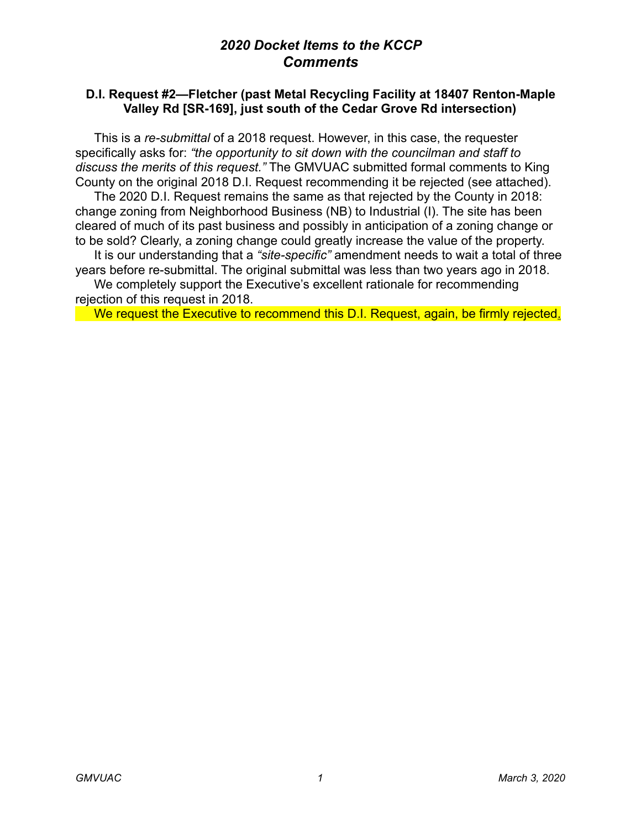## *2020 Docket Items to the KCCP Comments*

## **D.I. Request #2—Fletcher (past Metal Recycling Facility at 18407 Renton-Maple Valley Rd [SR-169], just south of the Cedar Grove Rd intersection)**

 This is a *re-submittal* of a 2018 request. However, in this case, the requester specifically asks for: *"the opportunity to sit down with the councilman and staff to discuss the merits of this request."* The GMVUAC submitted formal comments to King County on the original 2018 D.I. Request recommending it be rejected (see attached).

 The 2020 D.I. Request remains the same as that rejected by the County in 2018: change zoning from Neighborhood Business (NB) to Industrial (I). The site has been cleared of much of its past business and possibly in anticipation of a zoning change or to be sold? Clearly, a zoning change could greatly increase the value of the property.

 It is our understanding that a *"site-specific"* amendment needs to wait a total of three years before re-submittal. The original submittal was less than two years ago in 2018.

 We completely support the Executive's excellent rationale for recommending rejection of this request in 2018.

We request the Executive to recommend this D.I. Request, again, be firmly rejected.